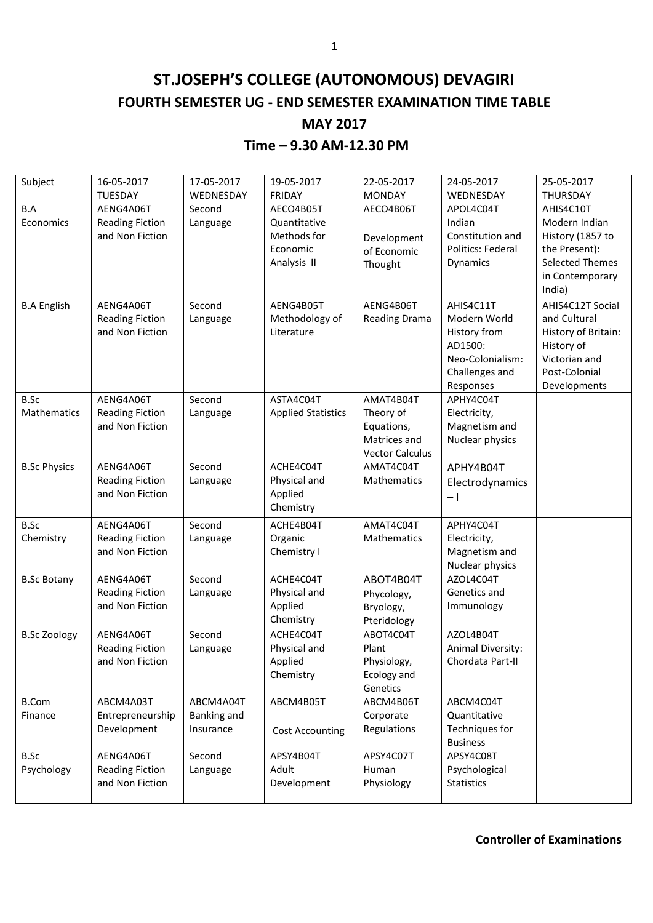## **ST.JOSEPH'S COLLEGE (AUTONOMOUS) DEVAGIRI FOURTH SEMESTER UG - END SEMESTER EXAMINATION TIME TABLE MAY 2017**

## **Time – 9.30 AM-12.30 PM**

| Subject             | 16-05-2017                      | 17-05-2017               | 19-05-2017                | 22-05-2017               | 24-05-2017                     | 25-05-2017             |
|---------------------|---------------------------------|--------------------------|---------------------------|--------------------------|--------------------------------|------------------------|
|                     | <b>TUESDAY</b>                  | WEDNESDAY                | <b>FRIDAY</b>             | <b>MONDAY</b>            | WEDNESDAY                      | <b>THURSDAY</b>        |
| B.A                 | AENG4A06T                       | Second                   | AECO4B05T                 | AECO4B06T                | APOL4C04T                      | AHIS4C10T              |
| Economics           | <b>Reading Fiction</b>          | Language                 | Quantitative              |                          | Indian                         | Modern Indian          |
|                     | and Non Fiction                 |                          | Methods for               | Development              | Constitution and               | History (1857 to       |
|                     |                                 |                          | Economic                  | of Economic              | Politics: Federal              | the Present):          |
|                     |                                 |                          | Analysis II               | Thought                  | Dynamics                       | <b>Selected Themes</b> |
|                     |                                 |                          |                           |                          |                                | in Contemporary        |
|                     |                                 |                          |                           |                          |                                | India)                 |
| <b>B.A English</b>  | AENG4A06T                       | Second                   | AENG4B05T                 | AENG4B06T                | AHIS4C11T                      | AHIS4C12T Social       |
|                     | <b>Reading Fiction</b>          | Language                 | Methodology of            | <b>Reading Drama</b>     | Modern World                   | and Cultural           |
|                     | and Non Fiction                 |                          | Literature                |                          | History from                   | History of Britain:    |
|                     |                                 |                          |                           |                          | AD1500:                        | History of             |
|                     |                                 |                          |                           |                          | Neo-Colonialism:               | Victorian and          |
|                     |                                 |                          |                           |                          | Challenges and                 | Post-Colonial          |
| B.Sc                | AENG4A06T                       | Second                   | ASTA4C04T                 | AMAT4B04T                | Responses<br>APHY4C04T         | Developments           |
| Mathematics         | <b>Reading Fiction</b>          | Language                 | <b>Applied Statistics</b> | Theory of                | Electricity,                   |                        |
|                     | and Non Fiction                 |                          |                           | Equations,               | Magnetism and                  |                        |
|                     |                                 |                          |                           | Matrices and             | Nuclear physics                |                        |
|                     |                                 |                          |                           | <b>Vector Calculus</b>   |                                |                        |
| <b>B.Sc Physics</b> | AENG4A06T                       | Second                   | ACHE4C04T                 | AMAT4C04T                | APHY4B04T                      |                        |
|                     | <b>Reading Fiction</b>          | Language                 | Physical and              | Mathematics              | Electrodynamics                |                        |
|                     | and Non Fiction                 |                          | Applied                   |                          | $-1$                           |                        |
|                     |                                 |                          | Chemistry                 |                          |                                |                        |
| B.Sc                | AENG4A06T                       | Second                   | ACHE4B04T                 | AMAT4C04T                | APHY4C04T                      |                        |
| Chemistry           | <b>Reading Fiction</b>          | Language                 | Organic                   | Mathematics              | Electricity,                   |                        |
|                     | and Non Fiction                 |                          | Chemistry I               |                          | Magnetism and                  |                        |
|                     |                                 |                          |                           |                          | Nuclear physics                |                        |
| <b>B.Sc Botany</b>  | AENG4A06T                       | Second                   | ACHE4C04T                 | ABOT4B04T                | AZOL4C04T                      |                        |
|                     | <b>Reading Fiction</b>          | Language                 | Physical and              | Phycology,               | Genetics and                   |                        |
|                     | and Non Fiction                 |                          | Applied                   | Bryology,                | Immunology                     |                        |
|                     |                                 |                          | Chemistry                 | Pteridology              |                                |                        |
| <b>B.Sc Zoology</b> | AENG4A06T                       | Second                   | ACHE4C04T                 | ABOT4C04T                | AZOL4B04T                      |                        |
|                     | <b>Reading Fiction</b>          | Language                 | Physical and              | Plant                    | Animal Diversity:              |                        |
|                     | and Non Fiction                 |                          | Applied                   | Physiology,              | Chordata Part-II               |                        |
|                     |                                 |                          | Chemistry                 | Ecology and              |                                |                        |
|                     |                                 |                          |                           | Genetics                 |                                |                        |
| <b>B.Com</b>        | ABCM4A03T                       | ABCM4A04T                | ABCM4B05T                 | ABCM4B06T                | ABCM4C04T                      |                        |
| Finance             | Entrepreneurship<br>Development | Banking and<br>Insurance |                           | Corporate<br>Regulations | Quantitative<br>Techniques for |                        |
|                     |                                 |                          | <b>Cost Accounting</b>    |                          | <b>Business</b>                |                        |
| B.Sc                | AENG4A06T                       | Second                   | APSY4B04T                 | APSY4C07T                | APSY4C08T                      |                        |
| Psychology          | <b>Reading Fiction</b>          | Language                 | Adult                     | Human                    | Psychological                  |                        |
|                     | and Non Fiction                 |                          | Development               | Physiology               | <b>Statistics</b>              |                        |
|                     |                                 |                          |                           |                          |                                |                        |
|                     |                                 |                          |                           |                          |                                |                        |